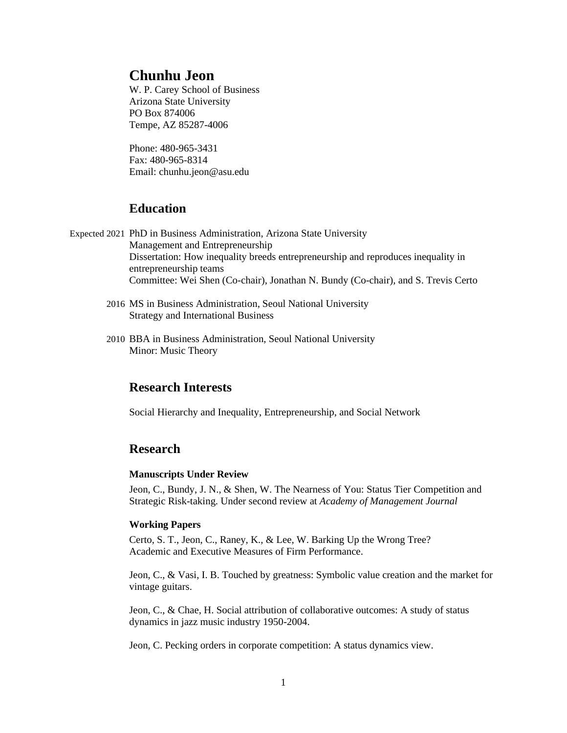# **Chunhu Jeon**

W. P. Carey School of Business Arizona State University PO Box 874006 Tempe, AZ 85287-4006

Phone: 480-965-3431 Fax: 480-965-8314 Email: [chunhu.jeon@asu.edu](mailto:chunhu.jeon@asu.edu)

# **Education**

- Expected 2021 PhD in Business Administration, Arizona State University Management and Entrepreneurship Dissertation: How inequality breeds entrepreneurship and reproduces inequality in entrepreneurship teams Committee: Wei Shen (Co-chair), Jonathan N. Bundy (Co-chair), and S. Trevis Certo
	- 2016 MS in Business Administration, Seoul National University Strategy and International Business
	- 2010 BBA in Business Administration, Seoul National University Minor: Music Theory

# **Research Interests**

Social Hierarchy and Inequality, Entrepreneurship, and Social Network

# **Research**

#### **Manuscripts Under Review**

Jeon, C., Bundy, J. N., & Shen, W. The Nearness of You: Status Tier Competition and Strategic Risk-taking. Under second review at *Academy of Management Journal*

## **Working Papers**

Certo, S. T., Jeon, C., Raney, K., & Lee, W. Barking Up the Wrong Tree? Academic and Executive Measures of Firm Performance.

Jeon, C., & Vasi, I. B. Touched by greatness: Symbolic value creation and the market for vintage guitars.

Jeon, C., & Chae, H. Social attribution of collaborative outcomes: A study of status dynamics in jazz music industry 1950-2004.

Jeon, C. Pecking orders in corporate competition: A status dynamics view.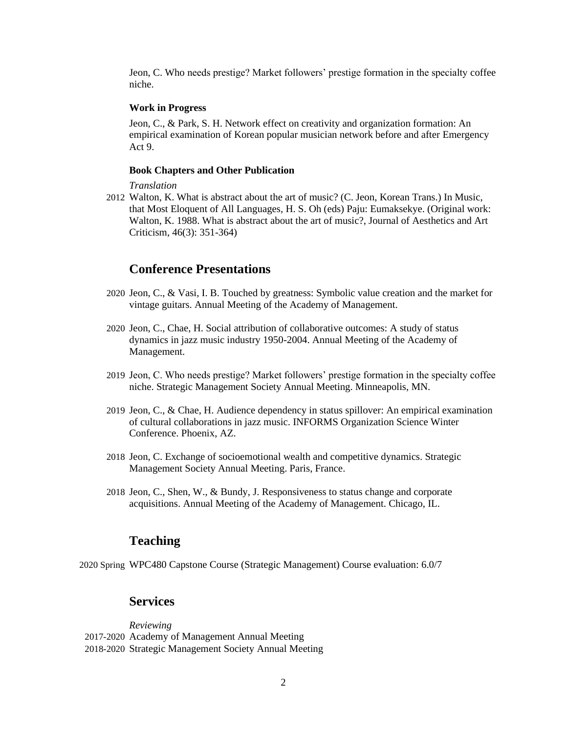Jeon, C. Who needs prestige? Market followers' prestige formation in the specialty coffee niche.

#### **Work in Progress**

Jeon, C., & Park, S. H. Network effect on creativity and organization formation: An empirical examination of Korean popular musician network before and after Emergency Act 9.

#### **Book Chapters and Other Publication**

*Translation*

2012 Walton, K. What is abstract about the art of music? (C. Jeon, Korean Trans.) In Music, that Most Eloquent of All Languages, H. S. Oh (eds) Paju: Eumaksekye. (Original work: Walton, K. 1988. What is abstract about the art of music?, Journal of Aesthetics and Art Criticism, 46(3): 351-364)

### **Conference Presentations**

- 2020 Jeon, C., & Vasi, I. B. Touched by greatness: Symbolic value creation and the market for vintage guitars. Annual Meeting of the Academy of Management.
- 2020 Jeon, C., Chae, H. Social attribution of collaborative outcomes: A study of status dynamics in jazz music industry 1950-2004. Annual Meeting of the Academy of Management.
- 2019 Jeon, C. Who needs prestige? Market followers' prestige formation in the specialty coffee niche. Strategic Management Society Annual Meeting. Minneapolis, MN.
- 2019 Jeon, C., & Chae, H. Audience dependency in status spillover: An empirical examination of cultural collaborations in jazz music. INFORMS Organization Science Winter Conference. Phoenix, AZ.
- 2018 Jeon, C. Exchange of socioemotional wealth and competitive dynamics. Strategic Management Society Annual Meeting. Paris, France.
- 2018 Jeon, C., Shen, W., & Bundy, J. Responsiveness to status change and corporate acquisitions. Annual Meeting of the Academy of Management. Chicago, IL.

# **Teaching**

2020 Spring WPC480 Capstone Course (Strategic Management) Course evaluation: 6.0/7

# **Services**

*Reviewing* 2017-2020 Academy of Management Annual Meeting 2018-2020 Strategic Management Society Annual Meeting